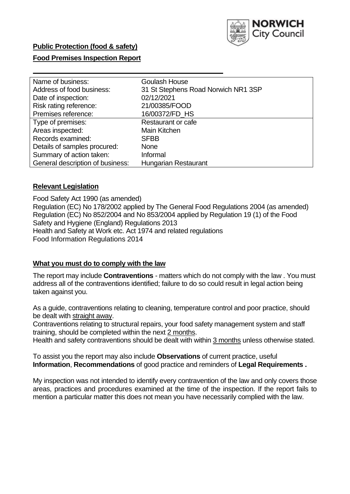

# **Public Protection (food & safety)**

# **Food Premises Inspection Report**

| Name of business:                | <b>Goulash House</b>                |
|----------------------------------|-------------------------------------|
| Address of food business:        | 31 St Stephens Road Norwich NR1 3SP |
| Date of inspection:              | 02/12/2021                          |
| Risk rating reference:           | 21/00385/FOOD                       |
| Premises reference:              | 16/00372/FD HS                      |
| Type of premises:                | Restaurant or cafe                  |
| Areas inspected:                 | Main Kitchen                        |
| Records examined:                | <b>SFBB</b>                         |
| Details of samples procured:     | <b>None</b>                         |
| Summary of action taken:         | Informal                            |
| General description of business: | Hungarian Restaurant                |

# **Relevant Legislation**

 Food Safety Act 1990 (as amended) Regulation (EC) No 178/2002 applied by The General Food Regulations 2004 (as amended) Regulation (EC) No 852/2004 and No 853/2004 applied by Regulation 19 (1) of the Food Safety and Hygiene (England) Regulations 2013 Health and Safety at Work etc. Act 1974 and related regulations Food Information Regulations 2014

### **What you must do to comply with the law**

 The report may include **Contraventions** - matters which do not comply with the law . You must address all of the contraventions identified; failure to do so could result in legal action being taken against you.

 As a guide, contraventions relating to cleaning, temperature control and poor practice, should be dealt with straight away.

 Contraventions relating to structural repairs, your food safety management system and staff training, should be completed within the next 2 months.

Health and safety contraventions should be dealt with within 3 months unless otherwise stated.

 To assist you the report may also include **Observations** of current practice, useful **Information**, **Recommendations** of good practice and reminders of **Legal Requirements .** 

 My inspection was not intended to identify every contravention of the law and only covers those areas, practices and procedures examined at the time of the inspection. If the report fails to mention a particular matter this does not mean you have necessarily complied with the law.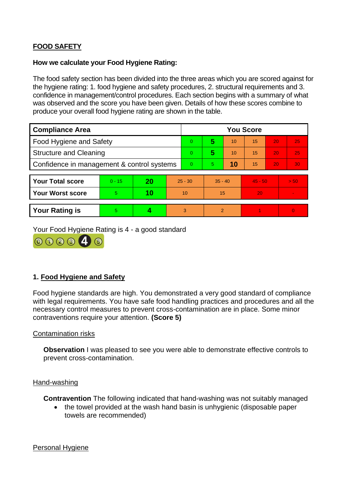# **FOOD SAFETY**

### **How we calculate your Food Hygiene Rating:**

 The food safety section has been divided into the three areas which you are scored against for the hygiene rating: 1. food hygiene and safety procedures, 2. structural requirements and 3. confidence in management/control procedures. Each section begins with a summary of what was observed and the score you have been given. Details of how these scores combine to produce your overall food hygiene rating are shown in the table.

| <b>Compliance Area</b>                     |          |    |                | <b>You Score</b> |                |    |           |    |                |  |  |
|--------------------------------------------|----------|----|----------------|------------------|----------------|----|-----------|----|----------------|--|--|
| Food Hygiene and Safety                    |          |    |                | $\Omega$         | 5              | 10 | 15        | 20 | 25             |  |  |
| <b>Structure and Cleaning</b>              |          |    | $\Omega$       | 5                | 10             | 15 | 20        | 25 |                |  |  |
| Confidence in management & control systems |          |    | $\overline{0}$ | 5                | 10             | 15 | 20        | 30 |                |  |  |
|                                            |          |    |                |                  |                |    |           |    |                |  |  |
| <b>Your Total score</b>                    | $0 - 15$ | 20 | $25 - 30$      |                  | $35 - 40$      |    | $45 - 50$ |    | > 50           |  |  |
| <b>Your Worst score</b>                    | 5        | 10 | 10             |                  | 15             |    | 20        |    | $\blacksquare$ |  |  |
|                                            |          |    |                |                  |                |    |           |    |                |  |  |
| <b>Your Rating is</b>                      | 5        |    |                | 3                | $\overline{2}$ |    |           |    | $\Omega$       |  |  |

Your Food Hygiene Rating is 4 - a good standard



# **1. Food Hygiene and Safety**

 with legal requirements. You have safe food handling practices and procedures and all the Food hygiene standards are high. You demonstrated a very good standard of compliance necessary control measures to prevent cross-contamination are in place. Some minor contraventions require your attention. **(Score 5)** 

#### Contamination risks

**Observation** I was pleased to see you were able to demonstrate effective controls to prevent cross-contamination.

#### Hand-washing

**Contravention** The following indicated that hand-washing was not suitably managed

• the towel provided at the wash hand basin is unhygienic (disposable paper towels are recommended)

### Personal Hygiene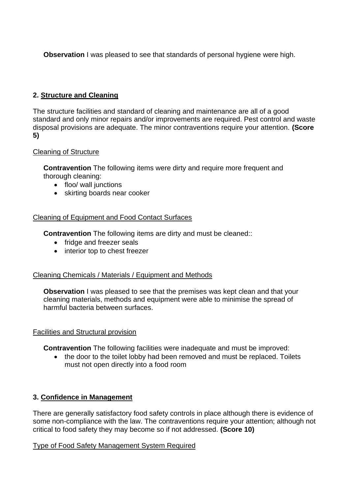**Observation** I was pleased to see that standards of personal hygiene were high.

# **2. Structure and Cleaning**

 The structure facilities and standard of cleaning and maintenance are all of a good standard and only minor repairs and/or improvements are required. Pest control and waste disposal provisions are adequate. The minor contraventions require your attention. **(Score 5)** 

# Cleaning of Structure

**Contravention** The following items were dirty and require more frequent and thorough cleaning:

- floo/ wall junctions
- skirting boards near cooker

# Cleaning of Equipment and Food Contact Surfaces

**Contravention** The following items are dirty and must be cleaned::

- fridge and freezer seals
- interior top to chest freezer

# Cleaning Chemicals / Materials / Equipment and Methods

**Observation** I was pleased to see that the premises was kept clean and that your cleaning materials, methods and equipment were able to minimise the spread of harmful bacteria between surfaces.

# Facilities and Structural provision

**Contravention** The following facilities were inadequate and must be improved:

• the door to the toilet lobby had been removed and must be replaced. Toilets must not open directly into a food room

# **3. Confidence in Management**

 There are generally satisfactory food safety controls in place although there is evidence of some non-compliance with the law. The contraventions require your attention; although not critical to food safety they may become so if not addressed. **(Score 10)** 

# Type of Food Safety Management System Required